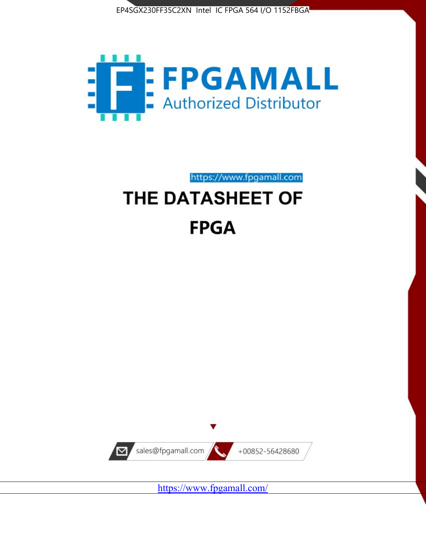



# https://www.fpgamall.com THE DATASHEET OF **FPGA**



<https://www.fpgamall.com/>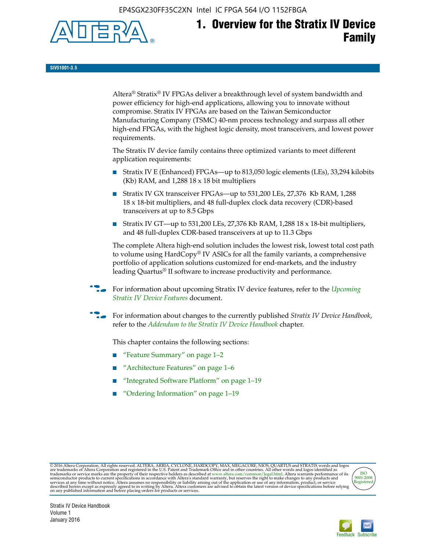EP4SGX230FF35C2XN Intel IC FPGA 564 I/O 1152FBGA



## **1. Overview for the Stratix IV Device Family**

**SIV51001-3.5**

Altera® Stratix® IV FPGAs deliver a breakthrough level of system bandwidth and power efficiency for high-end applications, allowing you to innovate without compromise. Stratix IV FPGAs are based on the Taiwan Semiconductor Manufacturing Company (TSMC) 40-nm process technology and surpass all other high-end FPGAs, with the highest logic density, most transceivers, and lowest power requirements.

The Stratix IV device family contains three optimized variants to meet different application requirements:

- Stratix IV E (Enhanced) FPGAs—up to 813,050 logic elements (LEs), 33,294 kilobits (Kb) RAM, and 1,288 18 x 18 bit multipliers
- Stratix IV GX transceiver FPGAs—up to 531,200 LEs, 27,376 Kb RAM, 1,288 18 x 18-bit multipliers, and 48 full-duplex clock data recovery (CDR)-based transceivers at up to 8.5 Gbps
- Stratix IV GT—up to 531,200 LEs, 27,376 Kb RAM, 1,288 18 x 18-bit multipliers, and 48 full-duplex CDR-based transceivers at up to 11.3 Gbps

The complete Altera high-end solution includes the lowest risk, lowest total cost path to volume using HardCopy® IV ASICs for all the family variants, a comprehensive portfolio of application solutions customized for end-markets, and the industry leading Quartus® II software to increase productivity and performance.

For information about upcoming Stratix IV device features, refer to the *Upcoming [Stratix IV Device Features](http://www.altera.com/literature/hb/stratix-iv/uf01001.pdf?GSA_pos=2&WT.oss_r=1&WT.oss=upcoming)* document.

f For information about changes to the currently published *Stratix IV Device Handbook*, refer to the *[Addendum to the Stratix IV Device Handbook](http://www.altera.com/literature/hb/stratix-iv/stx4_siv54002.pdf)* chapter.

This chapter contains the following sections:

- "Feature Summary" on page 1–2
- "Architecture Features" on page 1–6
- "Integrated Software Platform" on page 1–19
- "Ordering Information" on page 1–19

@ 2016 Altera Corporation. All rights reserved. ALTERA, ARRIA, CYCLONE, HARDCOPY, MAX, MEGACORE, NIOS, QUARTUS and STRATIX words and logos are trademarks of Altera Corporation and registered in the U.S. Patent and Trademar



Stratix IV Device Handbook Volume 1 January 2016

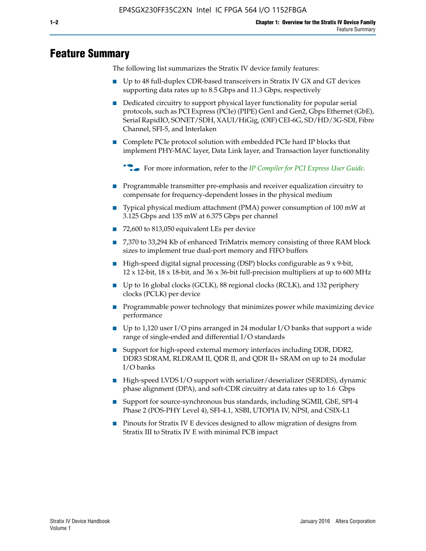## **Feature Summary**

The following list summarizes the Stratix IV device family features:

- Up to 48 full-duplex CDR-based transceivers in Stratix IV GX and GT devices supporting data rates up to 8.5 Gbps and 11.3 Gbps, respectively
- Dedicated circuitry to support physical layer functionality for popular serial protocols, such as PCI Express (PCIe) (PIPE) Gen1 and Gen2, Gbps Ethernet (GbE), Serial RapidIO, SONET/SDH, XAUI/HiGig, (OIF) CEI-6G, SD/HD/3G-SDI, Fibre Channel, SFI-5, and Interlaken
- Complete PCIe protocol solution with embedded PCIe hard IP blocks that implement PHY-MAC layer, Data Link layer, and Transaction layer functionality

**For more information, refer to the** *[IP Compiler for PCI Express User Guide](http://www.altera.com/literature/ug/ug_pci_express.pdf)***.** 

- Programmable transmitter pre-emphasis and receiver equalization circuitry to compensate for frequency-dependent losses in the physical medium
- Typical physical medium attachment (PMA) power consumption of 100 mW at 3.125 Gbps and 135 mW at 6.375 Gbps per channel
- 72,600 to 813,050 equivalent LEs per device
- 7,370 to 33,294 Kb of enhanced TriMatrix memory consisting of three RAM block sizes to implement true dual-port memory and FIFO buffers
- High-speed digital signal processing (DSP) blocks configurable as 9 x 9-bit,  $12 \times 12$ -bit,  $18 \times 18$ -bit, and  $36 \times 36$ -bit full-precision multipliers at up to 600 MHz
- Up to 16 global clocks (GCLK), 88 regional clocks (RCLK), and 132 periphery clocks (PCLK) per device
- Programmable power technology that minimizes power while maximizing device performance
- Up to 1,120 user I/O pins arranged in 24 modular I/O banks that support a wide range of single-ended and differential I/O standards
- Support for high-speed external memory interfaces including DDR, DDR2, DDR3 SDRAM, RLDRAM II, QDR II, and QDR II+ SRAM on up to 24 modular I/O banks
- High-speed LVDS I/O support with serializer/deserializer (SERDES), dynamic phase alignment (DPA), and soft-CDR circuitry at data rates up to 1.6 Gbps
- Support for source-synchronous bus standards, including SGMII, GbE, SPI-4 Phase 2 (POS-PHY Level 4), SFI-4.1, XSBI, UTOPIA IV, NPSI, and CSIX-L1
- Pinouts for Stratix IV E devices designed to allow migration of designs from Stratix III to Stratix IV E with minimal PCB impact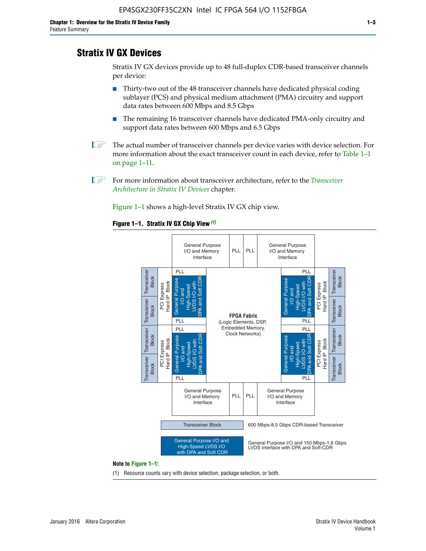## **Stratix IV GX Devices**

Stratix IV GX devices provide up to 48 full-duplex CDR-based transceiver channels per device:

- Thirty-two out of the 48 transceiver channels have dedicated physical coding sublayer (PCS) and physical medium attachment (PMA) circuitry and support data rates between 600 Mbps and 8.5 Gbps
- The remaining 16 transceiver channels have dedicated PMA-only circuitry and support data rates between 600 Mbps and 6.5 Gbps
- **1 The actual number of transceiver channels per device varies with device selection. For** more information about the exact transceiver count in each device, refer to Table 1–1 on page 1–11.
- 1 For more information about transceiver architecture, refer to the *[Transceiver](http://www.altera.com/literature/hb/stratix-iv/stx4_siv52001.pdf)  [Architecture in Stratix IV Devices](http://www.altera.com/literature/hb/stratix-iv/stx4_siv52001.pdf)* chapter.

Figure 1–1 shows a high-level Stratix IV GX chip view.

#### **Figure 1–1. Stratix IV GX Chip View** *(1)*



#### **Note to Figure 1–1:**

(1) Resource counts vary with device selection, package selection, or both.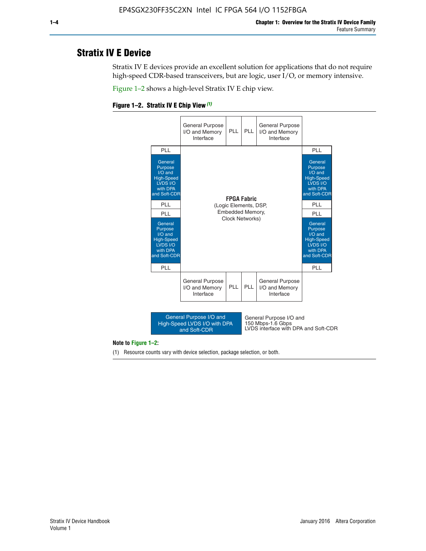## **Stratix IV E Device**

Stratix IV E devices provide an excellent solution for applications that do not require high-speed CDR-based transceivers, but are logic, user I/O, or memory intensive.

Figure 1–2 shows a high-level Stratix IV E chip view.





#### **Note to Figure 1–2:**

(1) Resource counts vary with device selection, package selection, or both.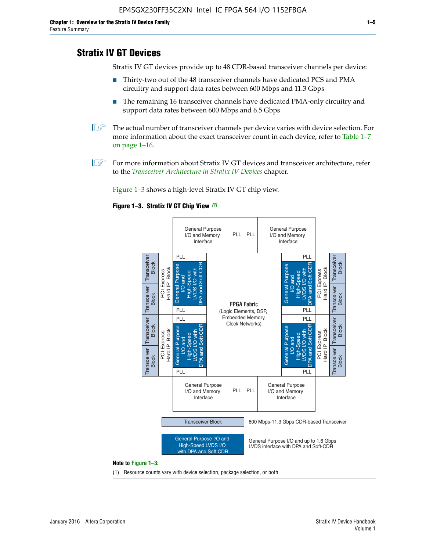## **Stratix IV GT Devices**

Stratix IV GT devices provide up to 48 CDR-based transceiver channels per device:

- Thirty-two out of the 48 transceiver channels have dedicated PCS and PMA circuitry and support data rates between 600 Mbps and 11.3 Gbps
- The remaining 16 transceiver channels have dedicated PMA-only circuitry and support data rates between 600 Mbps and 6.5 Gbps
- **1** The actual number of transceiver channels per device varies with device selection. For more information about the exact transceiver count in each device, refer to Table 1–7 on page 1–16.
- $\mathbb{I}$  For more information about Stratix IV GT devices and transceiver architecture, refer to the *[Transceiver Architecture in Stratix IV Devices](http://www.altera.com/literature/hb/stratix-iv/stx4_siv52001.pdf)* chapter.

Figure 1–3 shows a high-level Stratix IV GT chip view.

#### **Figure 1–3. Stratix IV GT Chip View** *(1)*



(1) Resource counts vary with device selection, package selection, or both.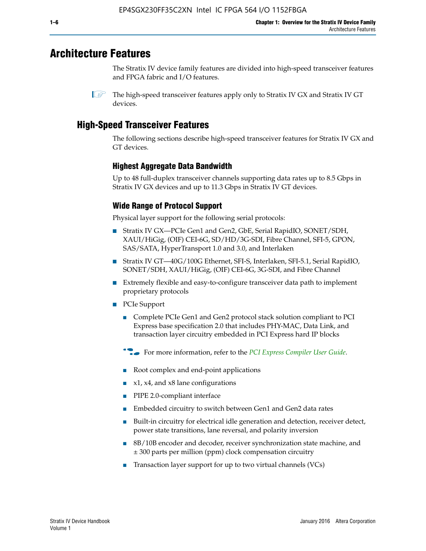## **Architecture Features**

The Stratix IV device family features are divided into high-speed transceiver features and FPGA fabric and I/O features.

## **High-Speed Transceiver Features**

The following sections describe high-speed transceiver features for Stratix IV GX and GT devices.

### **Highest Aggregate Data Bandwidth**

Up to 48 full-duplex transceiver channels supporting data rates up to 8.5 Gbps in Stratix IV GX devices and up to 11.3 Gbps in Stratix IV GT devices.

## **Wide Range of Protocol Support**

Physical layer support for the following serial protocols:

- Stratix IV GX—PCIe Gen1 and Gen2, GbE, Serial RapidIO, SONET/SDH, XAUI/HiGig, (OIF) CEI-6G, SD/HD/3G-SDI, Fibre Channel, SFI-5, GPON, SAS/SATA, HyperTransport 1.0 and 3.0, and Interlaken
- Stratix IV GT—40G/100G Ethernet, SFI-S, Interlaken, SFI-5.1, Serial RapidIO, SONET/SDH, XAUI/HiGig, (OIF) CEI-6G, 3G-SDI, and Fibre Channel
- Extremely flexible and easy-to-configure transceiver data path to implement proprietary protocols
- PCIe Support
	- Complete PCIe Gen1 and Gen2 protocol stack solution compliant to PCI Express base specification 2.0 that includes PHY-MAC, Data Link, and transaction layer circuitry embedded in PCI Express hard IP blocks
	- **For more information, refer to the [PCI Express Compiler User Guide](http://www.altera.com/literature/ug/ug_pci_express.pdf).**
	- Root complex and end-point applications
	- $x1, x4,$  and  $x8$  lane configurations
	- PIPE 2.0-compliant interface
	- Embedded circuitry to switch between Gen1 and Gen2 data rates
	- Built-in circuitry for electrical idle generation and detection, receiver detect, power state transitions, lane reversal, and polarity inversion
	- 8B/10B encoder and decoder, receiver synchronization state machine, and ± 300 parts per million (ppm) clock compensation circuitry
	- Transaction layer support for up to two virtual channels (VCs)

 $\mathbb{I}$  The high-speed transceiver features apply only to Stratix IV GX and Stratix IV GT devices.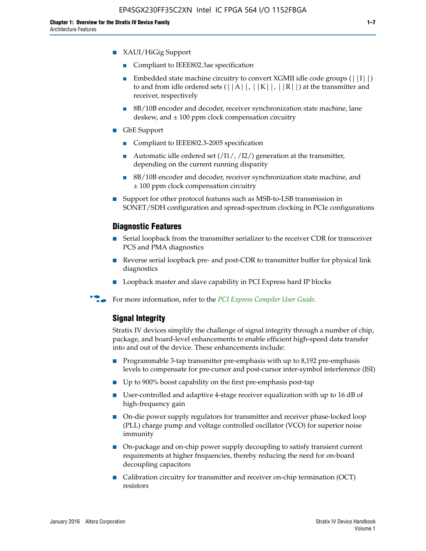- XAUI/HiGig Support
	- Compliant to IEEE802.3ae specification
	- **■** Embedded state machine circuitry to convert XGMII idle code groups  $(|11|)$ to and from idle ordered sets  $(|A|, |K|, |R|)$  at the transmitter and receiver, respectively
	- 8B/10B encoder and decoder, receiver synchronization state machine, lane deskew, and  $\pm$  100 ppm clock compensation circuitry
- GbE Support
	- Compliant to IEEE802.3-2005 specification
	- Automatic idle ordered set  $(111/112/1)$  generation at the transmitter, depending on the current running disparity
	- 8B/10B encoder and decoder, receiver synchronization state machine, and ± 100 ppm clock compensation circuitry
- Support for other protocol features such as MSB-to-LSB transmission in SONET/SDH configuration and spread-spectrum clocking in PCIe configurations

#### **Diagnostic Features**

- Serial loopback from the transmitter serializer to the receiver CDR for transceiver PCS and PMA diagnostics
- Reverse serial loopback pre- and post-CDR to transmitter buffer for physical link diagnostics
- Loopback master and slave capability in PCI Express hard IP blocks
- **For more information, refer to the** *[PCI Express Compiler User Guide](http://www.altera.com/literature/ug/ug_pci_express.pdf)***.**

#### **Signal Integrity**

Stratix IV devices simplify the challenge of signal integrity through a number of chip, package, and board-level enhancements to enable efficient high-speed data transfer into and out of the device. These enhancements include:

- Programmable 3-tap transmitter pre-emphasis with up to 8,192 pre-emphasis levels to compensate for pre-cursor and post-cursor inter-symbol interference (ISI)
- Up to 900% boost capability on the first pre-emphasis post-tap
- User-controlled and adaptive 4-stage receiver equalization with up to 16 dB of high-frequency gain
- On-die power supply regulators for transmitter and receiver phase-locked loop (PLL) charge pump and voltage controlled oscillator (VCO) for superior noise immunity
- On-package and on-chip power supply decoupling to satisfy transient current requirements at higher frequencies, thereby reducing the need for on-board decoupling capacitors
- Calibration circuitry for transmitter and receiver on-chip termination (OCT) resistors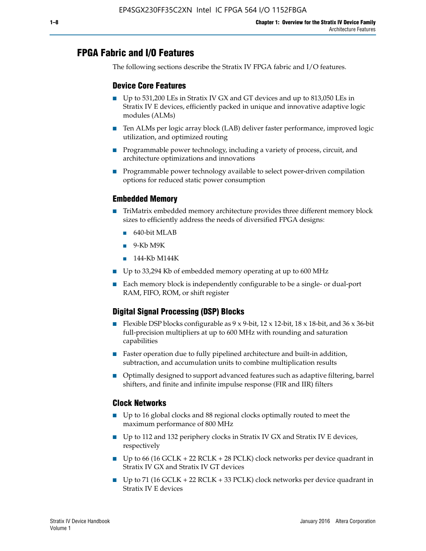## **FPGA Fabric and I/O Features**

The following sections describe the Stratix IV FPGA fabric and I/O features.

### **Device Core Features**

- Up to 531,200 LEs in Stratix IV GX and GT devices and up to 813,050 LEs in Stratix IV E devices, efficiently packed in unique and innovative adaptive logic modules (ALMs)
- Ten ALMs per logic array block (LAB) deliver faster performance, improved logic utilization, and optimized routing
- Programmable power technology, including a variety of process, circuit, and architecture optimizations and innovations
- Programmable power technology available to select power-driven compilation options for reduced static power consumption

### **Embedded Memory**

- TriMatrix embedded memory architecture provides three different memory block sizes to efficiently address the needs of diversified FPGA designs:
	- 640-bit MLAB
	- 9-Kb M9K
	- 144-Kb M144K
- Up to 33,294 Kb of embedded memory operating at up to 600 MHz
- Each memory block is independently configurable to be a single- or dual-port RAM, FIFO, ROM, or shift register

### **Digital Signal Processing (DSP) Blocks**

- Flexible DSP blocks configurable as  $9 \times 9$ -bit,  $12 \times 12$ -bit,  $18 \times 18$ -bit, and  $36 \times 36$ -bit full-precision multipliers at up to 600 MHz with rounding and saturation capabilities
- Faster operation due to fully pipelined architecture and built-in addition, subtraction, and accumulation units to combine multiplication results
- Optimally designed to support advanced features such as adaptive filtering, barrel shifters, and finite and infinite impulse response (FIR and IIR) filters

#### **Clock Networks**

- Up to 16 global clocks and 88 regional clocks optimally routed to meet the maximum performance of 800 MHz
- Up to 112 and 132 periphery clocks in Stratix IV GX and Stratix IV E devices, respectively
- Up to 66 (16 GCLK + 22 RCLK + 28 PCLK) clock networks per device quadrant in Stratix IV GX and Stratix IV GT devices
- Up to 71 (16 GCLK + 22 RCLK + 33 PCLK) clock networks per device quadrant in Stratix IV E devices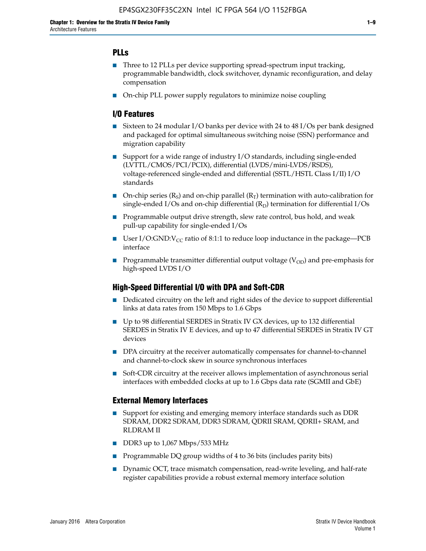### **PLLs**

- Three to 12 PLLs per device supporting spread-spectrum input tracking, programmable bandwidth, clock switchover, dynamic reconfiguration, and delay compensation
- On-chip PLL power supply regulators to minimize noise coupling

#### **I/O Features**

- Sixteen to 24 modular I/O banks per device with 24 to 48 I/Os per bank designed and packaged for optimal simultaneous switching noise (SSN) performance and migration capability
- Support for a wide range of industry I/O standards, including single-ended (LVTTL/CMOS/PCI/PCIX), differential (LVDS/mini-LVDS/RSDS), voltage-referenced single-ended and differential (SSTL/HSTL Class I/II) I/O standards
- **O**n-chip series  $(R_S)$  and on-chip parallel  $(R_T)$  termination with auto-calibration for single-ended I/Os and on-chip differential  $(R_D)$  termination for differential I/Os
- Programmable output drive strength, slew rate control, bus hold, and weak pull-up capability for single-ended I/Os
- User I/O:GND: $V_{CC}$  ratio of 8:1:1 to reduce loop inductance in the package—PCB interface
- **■** Programmable transmitter differential output voltage ( $V_{OD}$ ) and pre-emphasis for high-speed LVDS I/O

#### **High-Speed Differential I/O with DPA and Soft-CDR**

- Dedicated circuitry on the left and right sides of the device to support differential links at data rates from 150 Mbps to 1.6 Gbps
- Up to 98 differential SERDES in Stratix IV GX devices, up to 132 differential SERDES in Stratix IV E devices, and up to 47 differential SERDES in Stratix IV GT devices
- DPA circuitry at the receiver automatically compensates for channel-to-channel and channel-to-clock skew in source synchronous interfaces
- Soft-CDR circuitry at the receiver allows implementation of asynchronous serial interfaces with embedded clocks at up to 1.6 Gbps data rate (SGMII and GbE)

#### **External Memory Interfaces**

- Support for existing and emerging memory interface standards such as DDR SDRAM, DDR2 SDRAM, DDR3 SDRAM, QDRII SRAM, QDRII+ SRAM, and RLDRAM II
- DDR3 up to 1,067 Mbps/533 MHz
- Programmable DQ group widths of 4 to 36 bits (includes parity bits)
- Dynamic OCT, trace mismatch compensation, read-write leveling, and half-rate register capabilities provide a robust external memory interface solution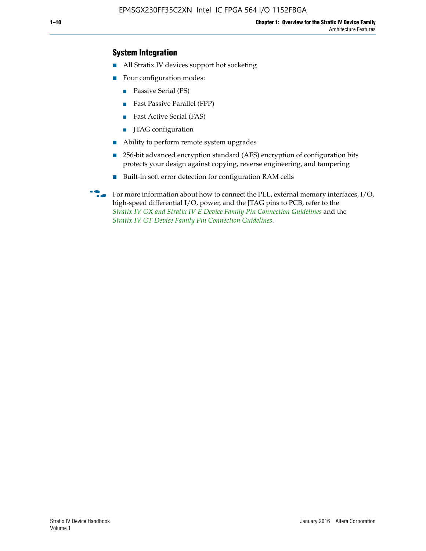### **System Integration**

- All Stratix IV devices support hot socketing
- Four configuration modes:
	- Passive Serial (PS)
	- Fast Passive Parallel (FPP)
	- Fast Active Serial (FAS)
	- JTAG configuration
- Ability to perform remote system upgrades
- 256-bit advanced encryption standard (AES) encryption of configuration bits protects your design against copying, reverse engineering, and tampering
- Built-in soft error detection for configuration RAM cells
- For more information about how to connect the PLL, external memory interfaces,  $I/O$ , high-speed differential I/O, power, and the JTAG pins to PCB, refer to the *[Stratix IV GX and Stratix IV E Device Family Pin Connection Guidelines](http://www.altera.com/literature/dp/stratix4/PCG-01005.pdf)* and the *[Stratix IV GT Device Family Pin Connection Guidelines](http://www.altera.com/literature/dp/stratix4/PCG-01006.pdf)*.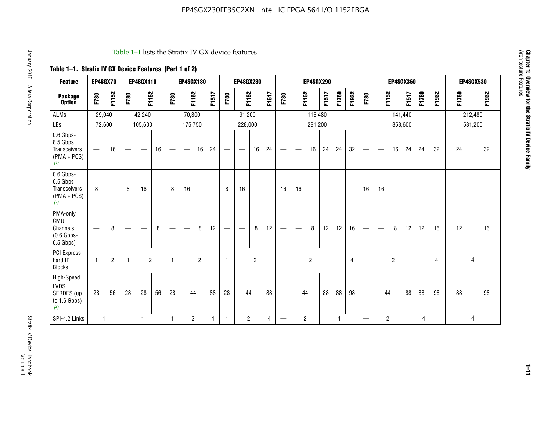#### Table 1–1 lists the Stratix IV GX device features.

## **Table 1–1. Stratix IV GX Device Features (Part 1 of 2)**

| <b>Feature</b>                                                       | EP4SGX70                       |                |                                  | <b>EP4SGX110</b> |    |                                | <b>EP4SGX180</b>               |                |       |              | <b>EP4SGX230</b>         |                          |                               |      |                | <b>EP4SGX290</b> |       |       |       |                          |                   |                | <b>EP4SGX360</b> |       |       |         | <b>EP4SGX530</b> |
|----------------------------------------------------------------------|--------------------------------|----------------|----------------------------------|------------------|----|--------------------------------|--------------------------------|----------------|-------|--------------|--------------------------|--------------------------|-------------------------------|------|----------------|------------------|-------|-------|-------|--------------------------|-------------------|----------------|------------------|-------|-------|---------|------------------|
| <b>Package</b><br><b>Option</b>                                      | F780                           | F1152          | F780                             | F1152            |    | F780                           | F1152                          |                | F1517 | F780         | F1152                    |                          | F1517                         | F780 | F1152          |                  | F1517 | F1760 | F1932 | F780                     | F1152             |                | F1517            | F1760 | F1932 | F1760   | F1932            |
| ALMs                                                                 | 29,040                         |                |                                  | 42,240           |    |                                | 70,300                         |                |       |              | 91,200                   |                          |                               |      |                | 116,480          |       |       |       |                          |                   |                | 141,440          |       |       | 212,480 |                  |
| LEs                                                                  | 72,600                         |                |                                  | 105,600          |    |                                | 175,750                        |                |       |              | 228,000                  |                          |                               |      |                | 291,200          |       |       |       |                          |                   |                | 353,600          |       |       |         | 531,200          |
| 0.6 Gbps-<br>8.5 Gbps<br>Transceivers<br>$(PMA + PCs)$<br>(1)        | $\overline{\phantom{0}}$       | 16             |                                  |                  | 16 |                                | $\qquad \qquad \longleftarrow$ | 16             | 24    |              |                          | 16                       | 24                            |      |                | 16               | 24    | 24    | 32    | $\overline{\phantom{0}}$ |                   | 16             | 24               | 24    | 32    | 24      | 32               |
| 0.6 Gbps-<br>6.5 Gbps<br><b>Transceivers</b><br>$(PMA + PCs)$<br>(1) | 8                              |                | 8                                | 16               | –  | 8                              | 16                             | -              |       | 8            | 16                       | $\overline{\phantom{0}}$ | $\overbrace{\phantom{aaaaa}}$ | 16   | 16             |                  | -     |       |       | 16                       | 16                |                |                  |       |       |         |                  |
| PMA-only<br>CMU<br>Channels<br>$(0.6$ Gbps-<br>6.5 Gbps)             | $\qquad \qquad \longleftarrow$ | 8              | $\overbrace{\phantom{12322111}}$ |                  | 8  | $\qquad \qquad \longleftarrow$ |                                | 8              | 12    | -            | $\overline{\phantom{a}}$ | 8                        | 12                            |      |                | 8                | 12    | 12    | 16    | $\overline{\phantom{0}}$ | $\hspace{0.05cm}$ | 8              | 12               | 12    | 16    | 12      | 16               |
| PCI Express<br>hard IP<br><b>Blocks</b>                              | $\mathbf{1}$                   | $\overline{2}$ |                                  | $\overline{2}$   |    | 1                              |                                | $\overline{2}$ |       | $\mathbf{1}$ |                          | $\overline{c}$           |                               |      |                | $\overline{c}$   |       |       | 4     |                          |                   | $\overline{2}$ |                  |       | 4     |         | 4                |
| High-Speed<br>LVDS<br>SERDES (up<br>to 1.6 Gbps)<br>(4)              | 28                             | 56             | 28                               | 28               | 56 | 28                             | 44                             |                | 88    | 28           | 44                       |                          | 88                            | —    | 44             |                  | 88    | 88    | 98    |                          | 44                |                | 88               | 88    | 98    | 88      | 98               |
| SPI-4.2 Links                                                        | $\mathbf{1}$                   |                |                                  | 1                |    | $\mathbf{1}$                   | $\overline{c}$                 |                | 4     | 1            | $\overline{c}$           |                          | $\overline{4}$                | —    | $\overline{2}$ |                  |       | 4     |       | $\overline{\phantom{0}}$ | $\overline{2}$    |                |                  | 4     |       |         | 4                |

**Chapter 1: Overview for the Stratix IV Device Family**

**Chapter 1: Overview for the Stratix IV Device Family**<br>Architecture Features

Architecture Features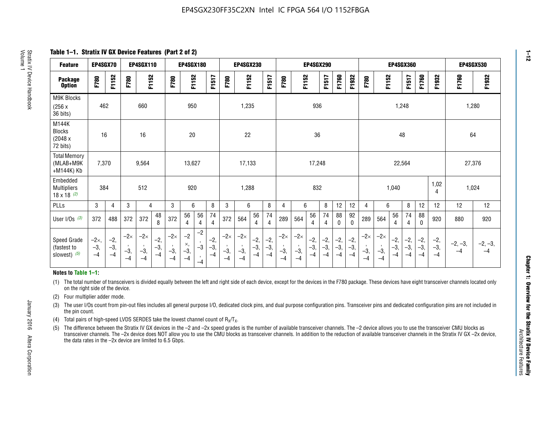**Table 1–1. Stratix IV GX Device Features (Part 2 of 2)**

| <b>Feature</b>                                       | EP4SGX70                |                        |                           | EP4SGX110                   |                        |                                        | <b>EP4SGX180</b>            |                                       |                        |                             | <b>EP4SGX230</b>            |                        |                      |                             |                             | <b>EP4SGX290</b>       |                       |                        |                      |                             |                             |                        | <b>EP4SGX360</b>       |                        |                        | <b>EP4SGX530</b>  |                   |
|------------------------------------------------------|-------------------------|------------------------|---------------------------|-----------------------------|------------------------|----------------------------------------|-----------------------------|---------------------------------------|------------------------|-----------------------------|-----------------------------|------------------------|----------------------|-----------------------------|-----------------------------|------------------------|-----------------------|------------------------|----------------------|-----------------------------|-----------------------------|------------------------|------------------------|------------------------|------------------------|-------------------|-------------------|
| <b>Package</b><br><b>Option</b>                      | F780                    | F1152                  | F780                      | F1152                       |                        | F780                                   | F1152                       |                                       | F1517                  | F780                        | F1152                       |                        | F1517                | F780                        | F1152                       |                        | F1517                 | F1760                  | F1932                | F780                        | F1152                       |                        | F1517                  | F1760                  | F1932                  | F1760             | F1932             |
| M9K Blocks<br>(256x)<br>36 bits)                     | 462                     |                        |                           | 660                         |                        |                                        | 950                         |                                       |                        |                             | 1,235                       |                        |                      |                             |                             | 936                    |                       |                        |                      |                             |                             | 1,248                  |                        |                        |                        |                   | 1,280             |
| M144K<br><b>Blocks</b><br>(2048 x<br>72 bits)        | 16                      |                        |                           | 16                          |                        |                                        | 20                          |                                       |                        |                             | 22                          |                        |                      |                             |                             | 36                     |                       |                        |                      |                             |                             | 48                     |                        |                        |                        | 64                |                   |
| <b>Total Memory</b><br>(MLAB+M9K<br>+M144K) Kb       | 7,370                   |                        |                           | 9,564                       |                        |                                        | 13,627                      |                                       |                        |                             | 17,133                      |                        |                      |                             |                             | 17,248                 |                       |                        |                      |                             |                             | 22,564                 |                        |                        |                        | 27,376            |                   |
| Embedded<br><b>Multipliers</b><br>$18 \times 18$ (2) | 384                     |                        |                           | 512                         |                        |                                        | 920                         |                                       |                        |                             | 1,288                       |                        |                      |                             |                             | 832                    |                       |                        |                      |                             |                             | 1,040                  |                        |                        | 1,02<br>4              | 1,024             |                   |
| PLLs                                                 | 3                       | $\overline{4}$         | 3                         | 4                           |                        | 3                                      | 6                           |                                       | 8                      | 3                           | 6                           |                        | 8                    | 4                           | 6                           |                        | 8                     | 12                     | 12                   | 4                           | 6                           |                        | 8                      | 12                     | 12                     | 12                | 12                |
| User $I/Os$ (3)                                      | 372                     | 488                    | 372                       | 372                         | 48<br>8                | 372                                    | 56<br>4                     | 56<br>4                               | 74<br>$\overline{4}$   | 372                         | 564                         | 56<br>4                | 74<br>$\overline{4}$ | 289                         | 564                         | 56<br>4                | 74<br>4               | 88<br>0                | 92<br>0              | 289                         | 564                         | 56<br>4                | 74<br>4                | 88<br>0                | 920                    | 880               | 920               |
| Speed Grade<br>(fastest to<br>slowest) (5)           | $-2x,$<br>$-3,$<br>$-4$ | $-2,$<br>$-3,$<br>$-4$ | $-2\times$<br>$-3,$<br>-4 | $-2\times$<br>$-3,$<br>$-4$ | $-2,$<br>$-3,$<br>$-4$ | $-2\times$<br>$\cdot$<br>$-3,$<br>$-4$ | $-2$<br>×,<br>$-3,$<br>$-4$ | $-2$<br>$\cdot$<br>$-3$<br>л.<br>$-4$ | $-2,$<br>$-3,$<br>$-4$ | $-2\times$<br>$-3,$<br>$-4$ | $-2\times$<br>$-3,$<br>$-4$ | $-2,$<br>$-3,$<br>$-4$ | $-2,$<br>-3,<br>$-4$ | $-2\times$<br>$-3,$<br>$-4$ | $-2\times$<br>$-3,$<br>$-4$ | $-2,$<br>$-3,$<br>$-4$ | $-2,$<br>$-3$<br>$-4$ | $-2,$<br>$-3,$<br>$-4$ | $-2,$<br>-3,<br>$-4$ | $-2\times$<br>$-3,$<br>$-4$ | $-2\times$<br>$-3,$<br>$-4$ | $-2,$<br>$-3,$<br>$-4$ | $-2,$<br>$-3,$<br>$-4$ | $-2,$<br>$-3,$<br>$-4$ | $-2,$<br>$-3,$<br>$-4$ | $-2, -3,$<br>$-4$ | $-2, -3,$<br>$-4$ |

#### **Notes to Table 1–1:**

(1) The total number of transceivers is divided equally between the left and right side of each device, except for the devices in the F780 package. These devices have eight transceiver channels located only on the right side of the device.

(2) Four multiplier adder mode.

(3) The user I/Os count from pin-out files includes all general purpose I/O, dedicated clock pins, and dual purpose configuration pins. Transceiver pins and dedicated configuration pins are not included in the pin count.

- (4) Total pairs of high-speed LVDS SERDES take the lowest channel count of  $R_X/T_X$ .
- (5) The difference between the Stratix IV GX devices in the –2 and –2x speed grades is the number of available transceiver channels. The –2 device allows you to use the transceiver CMU blocks as transceiver channels. The –2x device does NOT allow you to use the CMU blocks as transceiver channels. In addition to the reduction of available transceiver channels in the Stratix IV GX –2x device, the data rates in the –2x device are limited to 6.5 Gbps.

January 2016 Altera Corporation

Altera Corporation

January 2016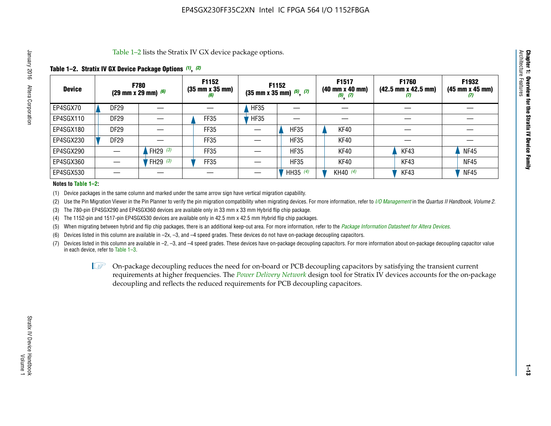Table 1–2 lists the Stratix IV GX device package options.

#### **Table 1–2. Stratix IV GX Device Package Options** *(1)***,** *(2)*

| <b>Device</b> | (29 mm x 29 mm) $(6)$ | <b>F780</b>          | F1152<br>$(35 \, \text{mm} \times 35 \, \text{mm})$<br>(6) | <b>F1152</b><br>$(35$ mm x 35 mm) $(5)$ , $(7)$ |             | F1517<br>(40 mm x 40 mm)<br>$(5)$ $(7)$ | <b>F1760</b><br>$(42.5 \text{ mm} \times 42.5 \text{ mm})$<br>W | F1932<br>$(45 \, \text{mm} \times 45 \, \text{mm})$<br>$\boldsymbol{v}$ |
|---------------|-----------------------|----------------------|------------------------------------------------------------|-------------------------------------------------|-------------|-----------------------------------------|-----------------------------------------------------------------|-------------------------------------------------------------------------|
| EP4SGX70      | DF <sub>29</sub>      |                      |                                                            | <b>HF35</b>                                     |             |                                         |                                                                 |                                                                         |
| EP4SGX110     | <b>DF29</b>           |                      | FF35                                                       | <b>HF35</b>                                     |             |                                         |                                                                 |                                                                         |
| EP4SGX180     | DF29                  |                      | FF35                                                       |                                                 | <b>HF35</b> | KF40                                    |                                                                 |                                                                         |
| EP4SGX230     | <b>DF29</b>           |                      | FF35                                                       |                                                 | <b>HF35</b> | KF40                                    |                                                                 |                                                                         |
| EP4SGX290     |                       | FH29 $(3)$           | FF35                                                       |                                                 | <b>HF35</b> | KF40                                    | KF43                                                            | <b>NF45</b>                                                             |
| EP4SGX360     |                       | 'FH29 <sup>(3)</sup> | FF35                                                       |                                                 | <b>HF35</b> | KF40                                    | KF43                                                            | <b>NF45</b>                                                             |
| EP4SGX530     |                       |                      |                                                            |                                                 | HH35 $(4)$  | KH40 (4)                                | KF43                                                            | <b>NF45</b>                                                             |

#### **Notes to Table 1–2:**

(1) Device packages in the same column and marked under the same arrow sign have vertical migration capability.

(2) Use the Pin Migration Viewer in the Pin Planner to verify the pin migration compatibility when migrating devices. For more information, refer to *[I/O Management](http://www.altera.com/literature/hb/qts/qts_qii52013.pdf)* in the *Quartus II Handbook, Volume 2*.

(3) The 780-pin EP4SGX290 and EP4SGX360 devices are available only in 33 mm x 33 mm Hybrid flip chip package.

(4) The 1152-pin and 1517-pin EP4SGX530 devices are available only in 42.5 mm x 42.5 mm Hybrid flip chip packages.

(5) When migrating between hybrid and flip chip packages, there is an additional keep-out area. For more information, refer to the *[Package Information Datasheet for Altera Devices](http://www.altera.com/literature/ds/dspkg.pdf)*.

(6) Devices listed in this column are available in –2x, –3, and –4 speed grades. These devices do not have on-package decoupling capacitors.

(7) Devices listed in this column are available in –2, –3, and –4 speed grades. These devices have on-package decoupling capacitors. For more information about on-package decoupling capacitor value in each device, refer to Table 1–3.

 $\mathbb{L}$ s On-package decoupling reduces the need for on-board or PCB decoupling capacitors by satisfying the transient current requirements at higher frequencies. The *[Power Delivery Network](http://www.altera.com/literature/ug/pdn_tool_stxiv.zip)* design tool for Stratix IV devices accounts for the on-package decoupling and reflects the reduced requirements for PCB decoupling capacitors.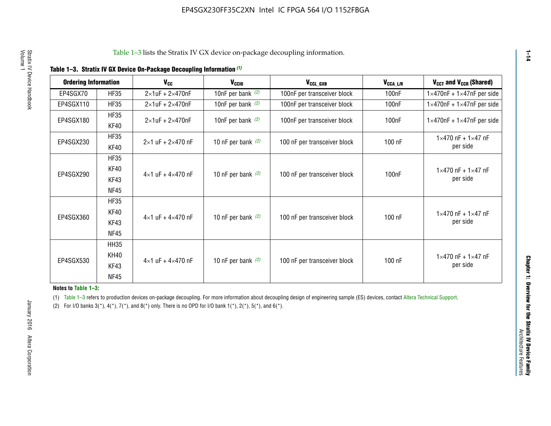| <b>Ordering Information</b> |                            | <b>V<sub>cc</sub></b>               | V <sub>ccio</sub>    | V <sub>CCL GXB</sub>         | V <sub>CCA_L/R</sub> | V <sub>CCT</sub> and V <sub>CCR</sub> (Shared)   |
|-----------------------------|----------------------------|-------------------------------------|----------------------|------------------------------|----------------------|--------------------------------------------------|
| EP4SGX70                    | <b>HF35</b>                | $2\times1$ uF + $2\times470$ nF     | 10nF per bank $(2)$  | 100nF per transceiver block  | 100 <sub>n</sub> F   | $1 \times 470$ nF + $1 \times 47$ nF per side    |
| EP4SGX110                   | <b>HF35</b>                | $2\times1$ uF + $2\times470$ nF     | 10nF per bank $(2)$  | 100nF per transceiver block  | 100 <sub>n</sub> F   | $1\times470$ nF + $1\times47$ nF per side        |
| EP4SGX180                   | <b>HF35</b><br>KF40        | $2\times1$ uF + $2\times470$ nF     | 10nF per bank $(2)$  | 100nF per transceiver block  | 100 <sub>nF</sub>    | $1 \times 470$ nF + $1 \times 47$ nF per side    |
| EP4SGX230                   | <b>HF35</b><br>KF40        | $2 \times 1$ uF + $2 \times 470$ nF | 10 nF per bank $(2)$ | 100 nF per transceiver block | 100 nF               | $1 \times 470$ nF + $1 \times 47$ nF<br>per side |
|                             | <b>HF35</b><br><b>KF40</b> |                                     |                      |                              |                      | $1 \times 470$ nF + $1 \times 47$ nF             |
| EP4SGX290                   | KF43<br><b>NF45</b>        | $4 \times 1$ uF + $4 \times 470$ nF | 10 nF per bank $(2)$ | 100 nF per transceiver block | 100nF                | per side                                         |
|                             | <b>HF35</b><br>KF40        |                                     |                      |                              |                      | $1 \times 470$ nF + $1 \times 47$ nF             |
| EP4SGX360                   | KF43<br><b>NF45</b>        | $4 \times 1$ uF + $4 \times 470$ nF | 10 nF per bank $(2)$ | 100 nF per transceiver block | 100 nF               | per side                                         |
|                             | <b>HH35</b>                |                                     |                      |                              |                      |                                                  |
| EP4SGX530                   | <b>KH40</b><br>KF43        | $4 \times 1$ uF + $4 \times 470$ nF | 10 nF per bank $(2)$ | 100 nF per transceiver block | 100 nF               | $1 \times 470$ nF + $1 \times 47$ nF<br>per side |
|                             | <b>NF45</b>                |                                     |                      |                              |                      |                                                  |

**Notes to Table 1–3:**

(1) Table 1-3 refers to production devices on-package decoupling. For more information about decoupling design of engineering sample (ES) devices, contact [Altera Technical Support](http://mysupport.altera.com/eservice/login.asp).

(2) For I/O banks  $3(*)$ ,  $4(*)$ ,  $7(*)$ , and  $8(*)$  only. There is no OPD for I/O bank  $1(*)$ ,  $2(*)$ ,  $5(*)$ , and  $6(*)$ .

**1–14**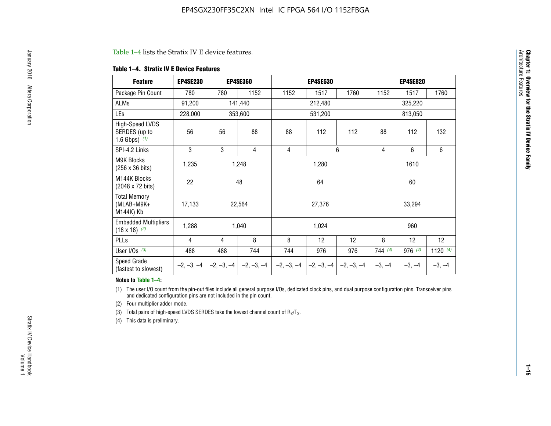#### Table 1–4 lists the Stratix IV E device features.

#### **Table 1–4. Stratix IV E Device Features**

| <b>Feature</b>                                      | <b>EP4SE230</b> |     | <b>EP4SE360</b>                          |              | <b>EP4SE530</b> |              |                | <b>EP4SE820</b> |                 |
|-----------------------------------------------------|-----------------|-----|------------------------------------------|--------------|-----------------|--------------|----------------|-----------------|-----------------|
| Package Pin Count                                   | 780             | 780 | 1152                                     | 1152         | 1517            | 1760         | 1152           | 1517            | 1760            |
| ALMs                                                | 91,200          |     | 141,440                                  |              | 212,480         |              |                | 325,220         |                 |
| LEs                                                 | 228,000         |     | 353,600                                  |              | 531,200         |              |                | 813,050         |                 |
| High-Speed LVDS<br>SERDES (up to<br>1.6 Gbps) $(1)$ | 56              | 56  | 88                                       | 88           | 112             | 112          | 88             | 112             | 132             |
| SPI-4.2 Links                                       | 3               | 3   | 4                                        | 4            |                 | 6            | $\overline{4}$ | 6               | 6               |
| <b>M9K Blocks</b><br>(256 x 36 bits)                | 1,235           |     | 1,248                                    |              | 1,280           |              |                | 1610            |                 |
| M144K Blocks<br>(2048 x 72 bits)                    | 22              |     | 48                                       |              | 64              |              |                | 60              |                 |
| <b>Total Memory</b><br>$(MLAB+M9K+$<br>M144K) Kb    | 17,133          |     | 22,564                                   |              | 27,376          |              |                | 33,294          |                 |
| <b>Embedded Multipliers</b><br>$(18 \times 18)$ (2) | 1,288           |     | 1,040                                    |              | 1,024           |              |                | 960             |                 |
| PLLs                                                | 4               | 4   | 8                                        | 8            | 12              | 12           | 8              | 12              | 12 <sup>2</sup> |
| User I/Os $(3)$                                     | 488             | 488 | 744                                      | 744          | 976             | 976          | 744(4)         | 976(4)          | 1120 $(4)$      |
| Speed Grade<br>(fastest to slowest)                 |                 |     | $-2, -3, -4$ $ -2, -3, -4$ $ -2, -3, -4$ | $-2, -3, -4$ | $-2, -3, -4$    | $-2, -3, -4$ | $-3, -4$       | $-3, -4$        | $-3, -4$        |

#### **Notes to Table 1–4:**

(1) The user I/O count from the pin-out files include all general purpose I/Os, dedicated clock pins, and dual purpose configuration pins. Transceiver pins and dedicated configuration pins are not included in the pin count.

(2) Four multiplier adder mode.

(3) Total pairs of high-speed LVDS SERDES take the lowest channel count of  $R_X/T_X$ .

(4) This data is preliminary.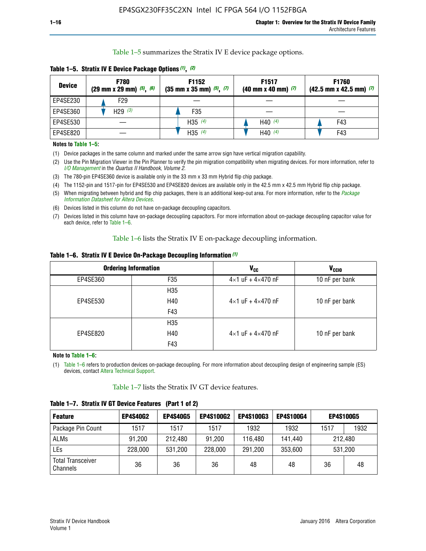Table 1–5 summarizes the Stratix IV E device package options.

| <b>Device</b> | <b>F780</b><br>$(29 \text{ mm} \times 29 \text{ mm})$ $(5)$ , $(6)$ | F1152<br>$(35 \text{ mm} \times 35 \text{ mm})$ $(5)$ , $(7)$ | F <sub>1517</sub><br>$(40 \text{ mm} \times 40 \text{ mm})$ (7) | <b>F1760</b><br>$(42.5$ mm x 42.5 mm) $(7)$ |  |  |
|---------------|---------------------------------------------------------------------|---------------------------------------------------------------|-----------------------------------------------------------------|---------------------------------------------|--|--|
| EP4SE230      | F29                                                                 |                                                               |                                                                 |                                             |  |  |
| EP4SE360      | H29 $(3)$                                                           | F35                                                           |                                                                 |                                             |  |  |
| EP4SE530      |                                                                     | H35 $(4)$                                                     | H40 $(4)$                                                       | F43                                         |  |  |
| EP4SE820      |                                                                     | H35 $(4)$                                                     | H40 $(4)$                                                       | F43                                         |  |  |

**Table 1–5. Stratix IV E Device Package Options** *(1)***,** *(2)*

#### **Notes to Table 1–5:**

(1) Device packages in the same column and marked under the same arrow sign have vertical migration capability.

(2) Use the Pin Migration Viewer in the Pin Planner to verify the pin migration compatibility when migrating devices. For more information, refer to *[I/O Management](http://www.altera.com/literature/hb/qts/qts_qii52013.pdf)* in the *Quartus II Handbook, Volume 2*.

(3) The 780-pin EP4SE360 device is available only in the 33 mm x 33 mm Hybrid flip chip package.

(4) The 1152-pin and 1517-pin for EP4SE530 and EP4SE820 devices are available only in the 42.5 mm x 42.5 mm Hybrid flip chip package.

(5) When migrating between hybrid and flip chip packages, there is an additional keep-out area. For more information, refer to the *[Package](http://www.altera.com/literature/ds/dspkg.pdf)  [Information Datasheet for Altera Devices](http://www.altera.com/literature/ds/dspkg.pdf)*.

(6) Devices listed in this column do not have on-package decoupling capacitors.

(7) Devices listed in this column have on-package decoupling capacitors. For more information about on-package decoupling capacitor value for each device, refer to Table 1–6.

Table 1–6 lists the Stratix IV E on-package decoupling information.

| Table 1–6. Stratix IV E Device On-Package Decoupling Information (1) |  |  |  |  |  |
|----------------------------------------------------------------------|--|--|--|--|--|
|----------------------------------------------------------------------|--|--|--|--|--|

|          | <b>Ordering Information</b> | <b>V<sub>cc</sub></b>               | <b>V<sub>CCIO</sub></b> |
|----------|-----------------------------|-------------------------------------|-------------------------|
| EP4SE360 | F <sub>35</sub>             | $4 \times 1$ uF + $4 \times 470$ nF | 10 nF per bank          |
|          | H <sub>35</sub>             |                                     |                         |
| EP4SE530 | H40                         | $4 \times 1$ uF + $4 \times 470$ nF | 10 nF per bank          |
|          | F43                         |                                     |                         |
|          | H <sub>35</sub>             |                                     |                         |
| EP4SE820 | H40                         | $4 \times 1$ uF + $4 \times 470$ nF | 10 nF per bank          |
|          | F43                         |                                     |                         |

**Note to Table 1–6:**

(1) Table 1–6 refers to production devices on-package decoupling. For more information about decoupling design of engineering sample (ES) devices, contact [Altera Technical Support](http://mysupport.altera.com/eservice/login.asp).

Table 1–7 lists the Stratix IV GT device features.

| <b>Feature</b>                       | <b>EP4S40G2</b> | <b>EP4S40G5</b> | <b>EP4S100G2</b> | <b>EP4S100G3</b> | <b>EP4S100G4</b> |      | <b>EP4S100G5</b> |
|--------------------------------------|-----------------|-----------------|------------------|------------------|------------------|------|------------------|
| Package Pin Count                    | 1517            | 1517            | 1517             | 1932             | 1932             | 1517 | 1932             |
| <b>ALMs</b>                          | 91,200          | 212,480         | 91,200           | 116,480          | 141,440          |      | 212.480          |
| LEs                                  | 228,000         | 531,200         | 228,000          | 291,200          | 353,600          |      | 531,200          |
| <b>Total Transceiver</b><br>Channels | 36              | 36              | 36               | 48               | 48               | 36   | 48               |

**Table 1–7. Stratix IV GT Device Features (Part 1 of 2)**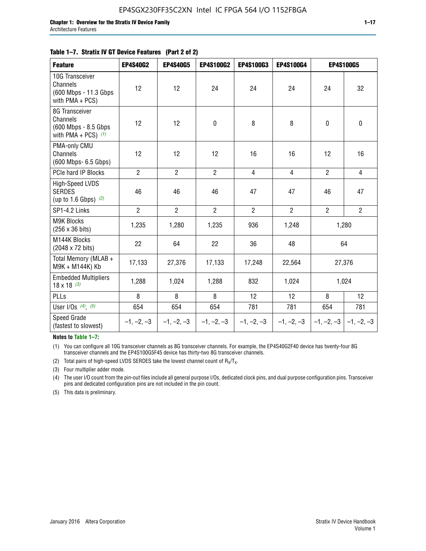#### **Table 1–7. Stratix IV GT Device Features (Part 2 of 2)**

| <b>Feature</b>                                                              | <b>EP4S40G2</b> | <b>EP4S40G5</b> | <b>EP4S100G2</b> | <b>EP4S100G3</b> | <b>EP4S100G4</b> |                           | <b>EP4S100G5</b> |
|-----------------------------------------------------------------------------|-----------------|-----------------|------------------|------------------|------------------|---------------------------|------------------|
| 10G Transceiver<br>Channels<br>(600 Mbps - 11.3 Gbps<br>with PMA + PCS)     | 12              | 12              | 24               | 24               | 24               | 24                        | 32               |
| 8G Transceiver<br>Channels<br>(600 Mbps - 8.5 Gbps<br>with PMA + PCS) $(1)$ | 12              | 12              | $\pmb{0}$        | 8                | 8                | $\mathbf 0$               | $\mathbf 0$      |
| PMA-only CMU<br>Channels<br>(600 Mbps- 6.5 Gbps)                            | 12              | 12              | 12               | 16               | 16               | 12                        | 16               |
| PCIe hard IP Blocks                                                         | $\overline{2}$  | $\overline{2}$  | $\overline{2}$   | $\overline{4}$   | $\overline{4}$   | $\overline{2}$            | $\overline{4}$   |
| <b>High-Speed LVDS</b><br><b>SERDES</b><br>(up to 1.6 Gbps) $(2)$           | 46              | 46              | 46               | 47               | 47               | 46                        | 47               |
| SP1-4.2 Links                                                               | $\overline{2}$  | $\overline{2}$  | $\overline{2}$   | $\overline{2}$   | $\overline{2}$   | $\overline{2}$            | $2^{\circ}$      |
| <b>M9K Blocks</b><br>(256 x 36 bits)                                        | 1,235           | 1,280           | 1,235            | 936              | 1,248            |                           | 1,280            |
| M144K Blocks<br>(2048 x 72 bits)                                            | 22              | 64              | 22               | 36               | 48               |                           | 64               |
| Total Memory (MLAB +<br>M9K + M144K) Kb                                     | 17,133          | 27,376          | 17,133           | 17,248           | 22,564           |                           | 27,376           |
| <b>Embedded Multipliers</b><br>$18 \times 18^{(3)}$                         | 1,288           | 1,024           | 1,288            | 832              | 1,024            | 1,024                     |                  |
| PLLs                                                                        | 8               | 8               | 8                | 12               | 12               | 8                         | 12               |
| User I/Os $(4)$ , $(5)$                                                     | 654             | 654             | 654              | 781              | 781              | 654                       | 781              |
| Speed Grade<br>(fastest to slowest)                                         | $-1, -2, -3$    | $-1, -2, -3$    | $-1, -2, -3$     | $-1, -2, -3$     | $-1, -2, -3$     | $-1, -2, -3$ $-1, -2, -3$ |                  |

**Notes to Table 1–7:**

(1) You can configure all 10G transceiver channels as 8G transceiver channels. For example, the EP4S40G2F40 device has twenty-four 8G transceiver channels and the EP4S100G5F45 device has thirty-two 8G transceiver channels.

(2) Total pairs of high-speed LVDS SERDES take the lowest channel count of  $R_X/T_X$ .

(3) Four multiplier adder mode.

(4) The user I/O count from the pin-out files include all general purpose I/Os, dedicated clock pins, and dual purpose configuration pins. Transceiver pins and dedicated configuration pins are not included in the pin count.

(5) This data is preliminary.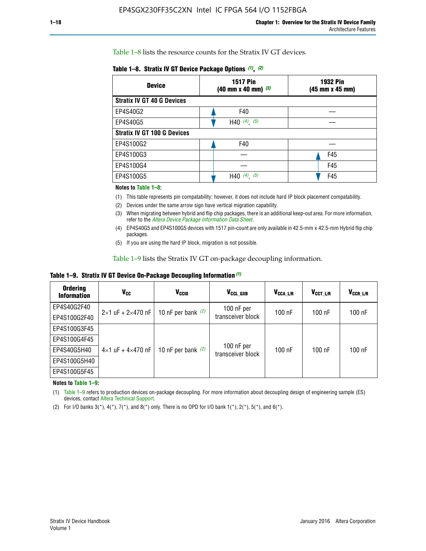Table 1–8 lists the resource counts for the Stratix IV GT devices.

|  | Table 1-8. Stratix IV GT Device Package Options (1), (2) |  |  |  |  |  |
|--|----------------------------------------------------------|--|--|--|--|--|
|--|----------------------------------------------------------|--|--|--|--|--|

| <b>Device</b>                      | <b>1517 Pin</b><br>$(40 \text{ mm} \times 40 \text{ mm})$ $(3)$ | <b>1932 Pin</b><br>(45 mm x 45 mm) |  |
|------------------------------------|-----------------------------------------------------------------|------------------------------------|--|
| <b>Stratix IV GT 40 G Devices</b>  |                                                                 |                                    |  |
| EP4S40G2                           | F40                                                             |                                    |  |
| EP4S40G5                           | H40 $(4)$ , $(5)$                                               |                                    |  |
| <b>Stratix IV GT 100 G Devices</b> |                                                                 |                                    |  |
| EP4S100G2                          | F40                                                             |                                    |  |
| EP4S100G3                          |                                                                 | F45                                |  |
| EP4S100G4                          |                                                                 | F45                                |  |
| EP4S100G5                          | (5)<br>$(4)$ ,<br>H40                                           | F45                                |  |

#### **Notes to Table 1–8:**

(1) This table represents pin compatability; however, it does not include hard IP block placement compatability.

- (2) Devices under the same arrow sign have vertical migration capability.
- (3) When migrating between hybrid and flip chip packages, there is an additional keep-out area. For more information, refer to the *[Altera Device Package Information Data Sheet](http://www.altera.com/literature/ds/dspkg.pdf)*.
- (4) EP4S40G5 and EP4S100G5 devices with 1517 pin-count are only available in 42.5-mm x 42.5-mm Hybrid flip chip packages.
- (5) If you are using the hard IP block, migration is not possible.

Table 1–9 lists the Stratix IV GT on-package decoupling information.

**Table 1–9. Stratix IV GT Device On-Package Decoupling Information** *(1)*

| <b>Ordering</b><br><b>Information</b> | Vcc                                 | <b>V<sub>CCIO</sub></b> | V <sub>CCL GXB</sub>            | V <sub>CCA_L/R</sub> | V <sub>CCT L/R</sub> | V <sub>CCR_L/R</sub> |
|---------------------------------------|-------------------------------------|-------------------------|---------------------------------|----------------------|----------------------|----------------------|
| EP4S40G2F40                           | $2 \times 1$ uF + $2 \times 470$ nF | 10 nF per bank $(2)$    | 100 nF per<br>transceiver block | $100$ nF             | 100 nF               | $100$ nF             |
| EP4S100G2F40                          |                                     |                         |                                 |                      |                      |                      |
| EP4S100G3F45                          |                                     | 10 nF per bank $(2)$    | 100 nF per<br>transceiver block | $100$ nF             | $100$ nF             | $100$ nF             |
| EP4S100G4F45                          |                                     |                         |                                 |                      |                      |                      |
| EP4S40G5H40                           | $4 \times 1$ uF + $4 \times 470$ nF |                         |                                 |                      |                      |                      |
| EP4S100G5H40                          |                                     |                         |                                 |                      |                      |                      |
| EP4S100G5F45                          |                                     |                         |                                 |                      |                      |                      |

**Notes to Table 1–9:**

(1) Table 1–9 refers to production devices on-package decoupling. For more information about decoupling design of engineering sample (ES) devices, contact [Altera Technical Support](http://mysupport.altera.com/eservice/login.asp).

(2) For I/O banks  $3(*)$ ,  $4(*)$ ,  $7(*)$ , and  $8(*)$  only. There is no OPD for I/O bank  $1(*)$ ,  $2(*)$ ,  $5(*)$ , and  $6(*)$ .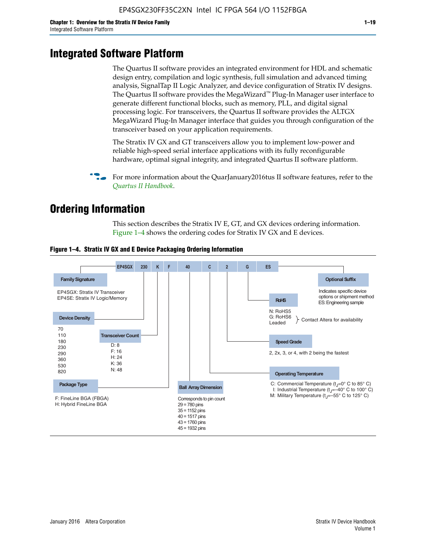## **Integrated Software Platform**

The Quartus II software provides an integrated environment for HDL and schematic design entry, compilation and logic synthesis, full simulation and advanced timing analysis, SignalTap II Logic Analyzer, and device configuration of Stratix IV designs. The Quartus II software provides the MegaWizard<sup> $M$ </sup> Plug-In Manager user interface to generate different functional blocks, such as memory, PLL, and digital signal processing logic. For transceivers, the Quartus II software provides the ALTGX MegaWizard Plug-In Manager interface that guides you through configuration of the transceiver based on your application requirements.

The Stratix IV GX and GT transceivers allow you to implement low-power and reliable high-speed serial interface applications with its fully reconfigurable hardware, optimal signal integrity, and integrated Quartus II software platform.

For more information about the QuarJanuary2016tus II software features, refer to the *[Quartus II Handbook](http://www.altera.com/literature/lit-qts.jsp)*.

## **Ordering Information**

This section describes the Stratix IV E, GT, and GX devices ordering information. Figure 1–4 shows the ordering codes for Stratix IV GX and E devices.



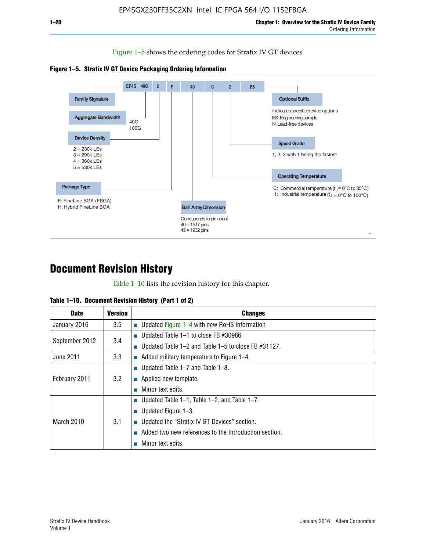Figure 1–5 shows the ordering codes for Stratix IV GT devices.





## **Document Revision History**

Table 1–10 lists the revision history for this chapter.

| <b>Date</b>       | <b>Version</b> | <b>Changes</b>                                        |
|-------------------|----------------|-------------------------------------------------------|
| January 2016      | 3.5            | ■ Updated Figure $1-4$ with new RoHS information      |
| September 2012    | 3.4            | ■ Updated Table 1–1 to close FB $#30986$ .            |
|                   |                | Updated Table 1–2 and Table 1–5 to close FB #31127.   |
| June 2011         | 3.3            | Added military temperature to Figure 1–4.             |
| February 2011     | 3.2            | ■ Updated Table 1–7 and Table 1–8.                    |
|                   |                | $\blacksquare$ Applied new template.                  |
|                   |                | Minor text edits.                                     |
| <b>March 2010</b> | 3.1            | <b>Updated Table 1–1, Table 1–2, and Table 1–7.</b>   |
|                   |                | ■ Updated Figure $1-3$ .                              |
|                   |                | Updated the "Stratix IV GT Devices" section.          |
|                   |                | Added two new references to the Introduction section. |
|                   |                | Minor text edits.                                     |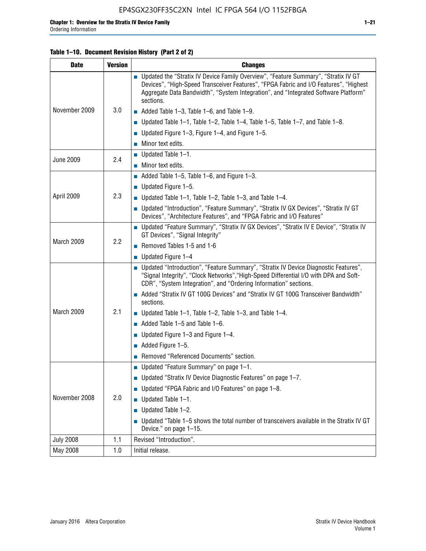#### **Table 1–10. Document Revision History (Part 2 of 2)**

| <b>Date</b>      | <b>Version</b> | <b>Changes</b>                                                                                                                                                                                                                                                                    |  |
|------------------|----------------|-----------------------------------------------------------------------------------------------------------------------------------------------------------------------------------------------------------------------------------------------------------------------------------|--|
| November 2009    | 3.0            | ■ Updated the "Stratix IV Device Family Overview", "Feature Summary", "Stratix IV GT<br>Devices", "High-Speed Transceiver Features", "FPGA Fabric and I/O Features", "Highest<br>Aggregate Data Bandwidth", "System Integration", and "Integrated Software Platform"<br>sections. |  |
|                  |                | $\blacksquare$ Added Table 1-3, Table 1-6, and Table 1-9.                                                                                                                                                                                                                         |  |
|                  |                | $\blacksquare$ Updated Table 1-1, Table 1-2, Table 1-4, Table 1-5, Table 1-7, and Table 1-8.                                                                                                                                                                                      |  |
|                  |                | ■ Updated Figure 1–3, Figure 1–4, and Figure 1–5.                                                                                                                                                                                                                                 |  |
|                  |                | $\blacksquare$ Minor text edits.                                                                                                                                                                                                                                                  |  |
|                  | 2.4            | $\blacksquare$ Updated Table 1-1.                                                                                                                                                                                                                                                 |  |
| <b>June 2009</b> |                | Minor text edits.                                                                                                                                                                                                                                                                 |  |
|                  |                | $\blacksquare$ Added Table 1–5, Table 1–6, and Figure 1–3.                                                                                                                                                                                                                        |  |
|                  |                | $\blacksquare$ Updated Figure 1-5.                                                                                                                                                                                                                                                |  |
| April 2009       | 2.3            | Updated Table $1-1$ , Table $1-2$ , Table $1-3$ , and Table $1-4$ .                                                                                                                                                                                                               |  |
|                  |                | ■ Updated "Introduction", "Feature Summary", "Stratix IV GX Devices", "Stratix IV GT<br>Devices", "Architecture Features", and "FPGA Fabric and I/O Features"                                                                                                                     |  |
| March 2009       | 2.2            | ■ Updated "Feature Summary", "Stratix IV GX Devices", "Stratix IV E Device", "Stratix IV<br>GT Devices", "Signal Integrity"                                                                                                                                                       |  |
|                  |                | Removed Tables 1-5 and 1-6                                                                                                                                                                                                                                                        |  |
|                  |                | Updated Figure 1-4                                                                                                                                                                                                                                                                |  |
|                  |                | ■ Updated "Introduction", "Feature Summary", "Stratix IV Device Diagnostic Features",<br>"Signal Integrity", "Clock Networks", "High-Speed Differential I/O with DPA and Soft-<br>CDR", "System Integration", and "Ordering Information" sections.                                |  |
|                  |                | Added "Stratix IV GT 100G Devices" and "Stratix IV GT 100G Transceiver Bandwidth"<br>sections.                                                                                                                                                                                    |  |
| March 2009       | 2.1            | <b>Updated Table 1–1, Table 1–2, Table 1–3, and Table 1–4.</b>                                                                                                                                                                                                                    |  |
|                  |                | $\blacksquare$ Added Table 1-5 and Table 1-6.                                                                                                                                                                                                                                     |  |
|                  |                | ■ Updated Figure $1-3$ and Figure $1-4$ .                                                                                                                                                                                                                                         |  |
|                  |                | $\blacksquare$ Added Figure 1-5.                                                                                                                                                                                                                                                  |  |
|                  |                | Removed "Referenced Documents" section.                                                                                                                                                                                                                                           |  |
|                  | 2.0            | Updated "Feature Summary" on page 1-1.                                                                                                                                                                                                                                            |  |
|                  |                | ■ Updated "Stratix IV Device Diagnostic Features" on page 1-7.                                                                                                                                                                                                                    |  |
| November 2008    |                | Updated "FPGA Fabric and I/O Features" on page 1-8.                                                                                                                                                                                                                               |  |
|                  |                | $\blacksquare$ Updated Table 1-1.                                                                                                                                                                                                                                                 |  |
|                  |                | Updated Table 1-2.                                                                                                                                                                                                                                                                |  |
|                  |                | Updated "Table 1-5 shows the total number of transceivers available in the Stratix IV GT<br>Device." on page 1-15.                                                                                                                                                                |  |
| <b>July 2008</b> | 1.1            | Revised "Introduction".                                                                                                                                                                                                                                                           |  |
| May 2008         | 1.0            | Initial release.                                                                                                                                                                                                                                                                  |  |